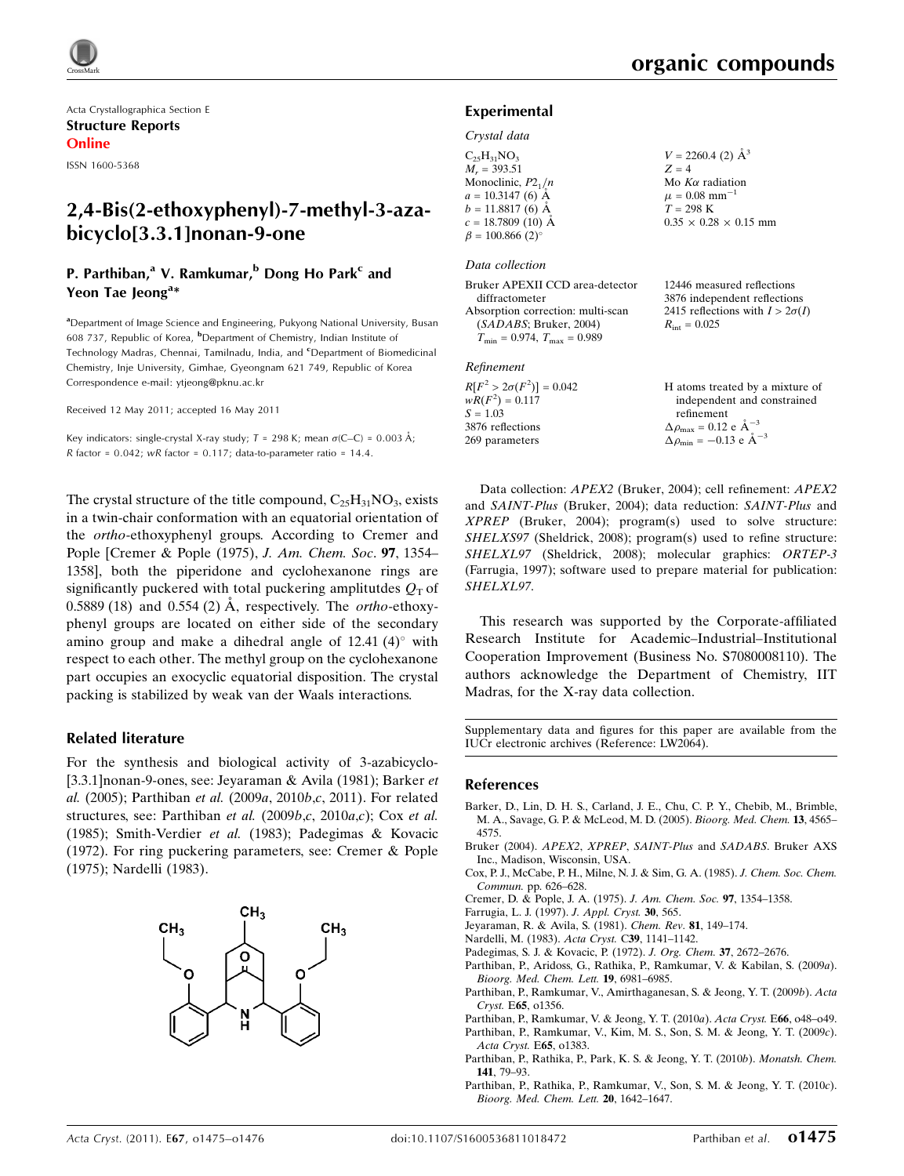

Acta Crystallographica Section E Structure Reports Online

ISSN 1600-5368

# 2,4-Bis(2-ethoxyphenyl)-7-methyl-3-azabicyclo[3.3.1]nonan-9-one

# P. Parthiban,<sup>a</sup> V. Ramkumar,<sup>b</sup> Dong Ho Park<sup>c</sup> and Yeon Tae Jeong<sup>a\*</sup>

<sup>a</sup>Department of Image Science and Engineering, Pukyong National University, Busan 608 737, Republic of Korea, <sup>b</sup>Department of Chemistry, Indian Institute of Technology Madras, Chennai, Tamilnadu, India, and <sup>c</sup>Department of Biomedicinal Chemistry, Inje University, Gimhae, Gyeongnam 621 749, Republic of Korea Correspondence e-mail: [ytjeong@pknu.ac.kr](http://scripts.iucr.org/cgi-bin/cr.cgi?rm=pdfbb&cnor=lw2064&bbid=BB17)

Received 12 May 2011; accepted 16 May 2011

Key indicators: single-crystal X-ray study;  $T = 298$  K; mean  $\sigma$ (C–C) = 0.003 Å; R factor =  $0.042$ ; wR factor =  $0.117$ ; data-to-parameter ratio = 14.4.

The crystal structure of the title compound,  $C_{25}H_{31}NO_3$ , exists in a twin-chair conformation with an equatorial orientation of the ortho-ethoxyphenyl groups. According to Cremer and Pople [Cremer & Pople (1975), J. Am. Chem. Soc. 97, 1354– 1358], both the piperidone and cyclohexanone rings are significantly puckered with total puckering amplitutes  $Q<sub>T</sub>$  of 0.5889 (18) and 0.554 (2) Å, respectively. The *ortho-ethoxy*phenyl groups are located on either side of the secondary amino group and make a dihedral angle of  $12.41$  (4) $^{\circ}$  with respect to each other. The methyl group on the cyclohexanone part occupies an exocyclic equatorial disposition. The crystal packing is stabilized by weak van der Waals interactions.

### Related literature

For the synthesis and biological activity of 3-azabicyclo- [3.3.1]nonan-9-ones, see: Jeyaraman & Avila (1981); Barker et al. (2005); Parthiban et al. (2009a, 2010b,c, 2011). For related structures, see: Parthiban et al. (2009b,c, 2010a,c); Cox et al. (1985); Smith-Verdier et al. (1983); Padegimas & Kovacic (1972). For ring puckering parameters, see: Cremer & Pople (1975); Nardelli (1983).



### Experimental

#### Crystal data

| $C_{25}H_{31}NO_{3}$               | $V = 2260.4$ (2) $\AA^3$          |
|------------------------------------|-----------------------------------|
| $M_r = 393.51$                     | $Z = 4$                           |
| Monoclinic, $P2_1/n$               | Mo $K\alpha$ radiation            |
| $a = 10.3147(6)$ Å                 | $\mu = 0.08$ mm <sup>-1</sup>     |
| $b = 11.8817(6)$ Å                 | $T = 298$ K                       |
| $c = 18.7809$ (10) Å               | $0.35 \times 0.28 \times 0.15$ mm |
| $\beta = 100.866$ (2) <sup>o</sup> |                                   |
|                                    |                                   |

### Data collection

Bruker APEXII CCD area-detector diffractometer Absorption correction: multi-scan (SADABS; Bruker, 2004)  $T_{\text{min}} = 0.974$ ,  $T_{\text{max}} = 0.989$ 

#### Refinement

 $R[F^2 > 2\sigma(F^2)] = 0.042$  $wR(F^2) = 0.117$  $S = 1.03$ 3876 reflections 269 parameters

3876 independent reflections 2415 reflections with  $I > 2\sigma(I)$  $R_{\text{int}} = 0.025$ 

12446 measured reflections

```
H atoms treated by a mixture of
    independent and constrained
    refinement
\Delta \rho_{\text{max}} = 0.12 \text{ e } \text{\AA}^{-3}\Delta \rho_{\rm min} = -0.13 \text{ e } \text{\AA}^{-3}
```
Data collection: APEX2 (Bruker, 2004); cell refinement: APEX2 and SAINT-Plus (Bruker, 2004); data reduction: SAINT-Plus and XPREP (Bruker, 2004); program(s) used to solve structure: SHELXS97 (Sheldrick, 2008); program(s) used to refine structure: SHELXL97 (Sheldrick, 2008); molecular graphics: ORTEP-3 (Farrugia, 1997); software used to prepare material for publication: SHELXL97.

This research was supported by the Corporate-affiliated Research Institute for Academic–Industrial–Institutional Cooperation Improvement (Business No. S7080008110). The authors acknowledge the Department of Chemistry, IIT Madras, for the X-ray data collection.

Supplementary data and figures for this paper are available from the IUCr electronic archives (Reference: LW2064).

### References

- [Barker, D., Lin, D. H. S., Carland, J. E., Chu, C. P. Y., Chebib, M., Brimble,](http://scripts.iucr.org/cgi-bin/cr.cgi?rm=pdfbb&cnor=lw2064&bbid=BB1) [M. A., Savage, G. P. & McLeod, M. D. \(2005\).](http://scripts.iucr.org/cgi-bin/cr.cgi?rm=pdfbb&cnor=lw2064&bbid=BB1) Bioorg. Med. Chem. 13, 4565– [4575.](http://scripts.iucr.org/cgi-bin/cr.cgi?rm=pdfbb&cnor=lw2064&bbid=BB1)
- [Bruker \(2004\).](http://scripts.iucr.org/cgi-bin/cr.cgi?rm=pdfbb&cnor=lw2064&bbid=BB2) APEX2, XPREP, SAINT-Plus and SADABS. Bruker AXS [Inc., Madison, Wisconsin, USA.](http://scripts.iucr.org/cgi-bin/cr.cgi?rm=pdfbb&cnor=lw2064&bbid=BB2)
- [Cox, P. J., McCabe, P. H., Milne, N. J. & Sim, G. A. \(1985\).](http://scripts.iucr.org/cgi-bin/cr.cgi?rm=pdfbb&cnor=lw2064&bbid=BB3) J. Chem. Soc. Chem. Commun. [pp. 626–628.](http://scripts.iucr.org/cgi-bin/cr.cgi?rm=pdfbb&cnor=lw2064&bbid=BB3)
- [Cremer, D. & Pople, J. A. \(1975\).](http://scripts.iucr.org/cgi-bin/cr.cgi?rm=pdfbb&cnor=lw2064&bbid=BB4) J. Am. Chem. Soc. 97, 1354–1358.
- [Farrugia, L. J. \(1997\).](http://scripts.iucr.org/cgi-bin/cr.cgi?rm=pdfbb&cnor=lw2064&bbid=BB5) J. Appl. Cryst. 30, 565.
- [Jeyaraman, R. & Avila, S. \(1981\).](http://scripts.iucr.org/cgi-bin/cr.cgi?rm=pdfbb&cnor=lw2064&bbid=BB6) Chem. Rev. 81, 149–174.
- [Nardelli, M. \(1983\).](http://scripts.iucr.org/cgi-bin/cr.cgi?rm=pdfbb&cnor=lw2064&bbid=BB7) Acta Cryst. C39, 1141–1142.
- [Padegimas, S. J. & Kovacic, P. \(1972\).](http://scripts.iucr.org/cgi-bin/cr.cgi?rm=pdfbb&cnor=lw2064&bbid=BB8) J. Org. Chem. 37, 2672–2676.
- [Parthiban, P., Aridoss, G., Rathika, P., Ramkumar, V. & Kabilan, S. \(2009](http://scripts.iucr.org/cgi-bin/cr.cgi?rm=pdfbb&cnor=lw2064&bbid=BB9)a). [Bioorg. Med. Chem. Lett.](http://scripts.iucr.org/cgi-bin/cr.cgi?rm=pdfbb&cnor=lw2064&bbid=BB9) 19, 6981–6985.
- [Parthiban, P., Ramkumar, V., Amirthaganesan, S. & Jeong, Y. T. \(2009](http://scripts.iucr.org/cgi-bin/cr.cgi?rm=pdfbb&cnor=lw2064&bbid=BB10)b). Acta Cryst. E65[, o1356.](http://scripts.iucr.org/cgi-bin/cr.cgi?rm=pdfbb&cnor=lw2064&bbid=BB10)
- [Parthiban, P., Ramkumar, V. & Jeong, Y. T. \(2010](http://scripts.iucr.org/cgi-bin/cr.cgi?rm=pdfbb&cnor=lw2064&bbid=BB11)a). Acta Cryst. E66, o48–o49. [Parthiban, P., Ramkumar, V., Kim, M. S., Son, S. M. & Jeong, Y. T. \(2009](http://scripts.iucr.org/cgi-bin/cr.cgi?rm=pdfbb&cnor=lw2064&bbid=BB12)c).
- [Acta Cryst.](http://scripts.iucr.org/cgi-bin/cr.cgi?rm=pdfbb&cnor=lw2064&bbid=BB12) E65, o1383. [Parthiban, P., Rathika, P., Park, K. S. & Jeong, Y. T. \(2010](http://scripts.iucr.org/cgi-bin/cr.cgi?rm=pdfbb&cnor=lw2064&bbid=BB13)b). Monatsh. Chem.
- 141[, 79–93.](http://scripts.iucr.org/cgi-bin/cr.cgi?rm=pdfbb&cnor=lw2064&bbid=BB13)
- [Parthiban, P., Rathika, P., Ramkumar, V., Son, S. M. & Jeong, Y. T. \(2010](http://scripts.iucr.org/cgi-bin/cr.cgi?rm=pdfbb&cnor=lw2064&bbid=BB14)c). [Bioorg. Med. Chem. Lett.](http://scripts.iucr.org/cgi-bin/cr.cgi?rm=pdfbb&cnor=lw2064&bbid=BB14) 20, 1642–1647.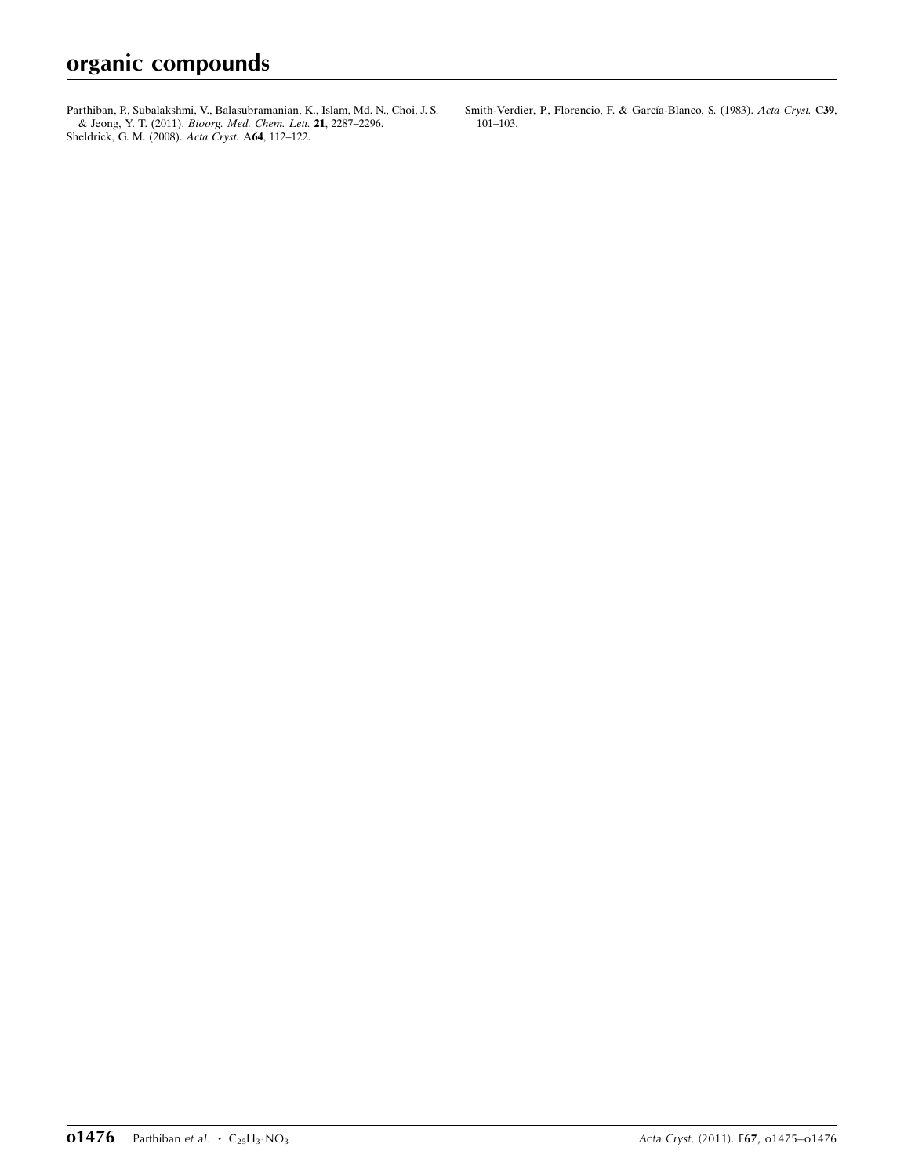[Parthiban, P., Subalakshmi, V., Balasubramanian, K., Islam, Md. N., Choi, J. S.](http://scripts.iucr.org/cgi-bin/cr.cgi?rm=pdfbb&cnor=lw2064&bbid=BB15) & Jeong, Y. T. (2011). [Bioorg. Med. Chem. Lett.](http://scripts.iucr.org/cgi-bin/cr.cgi?rm=pdfbb&cnor=lw2064&bbid=BB15) 21, 2287–2296. [Sheldrick, G. M. \(2008\).](http://scripts.iucr.org/cgi-bin/cr.cgi?rm=pdfbb&cnor=lw2064&bbid=BB16) Acta Cryst. A64, 112–122.

Smith-Verdier, P., Florencio, F. & García-Blanco, S. (1983). Acta Cryst. C39, [101–103.](http://scripts.iucr.org/cgi-bin/cr.cgi?rm=pdfbb&cnor=lw2064&bbid=BB17)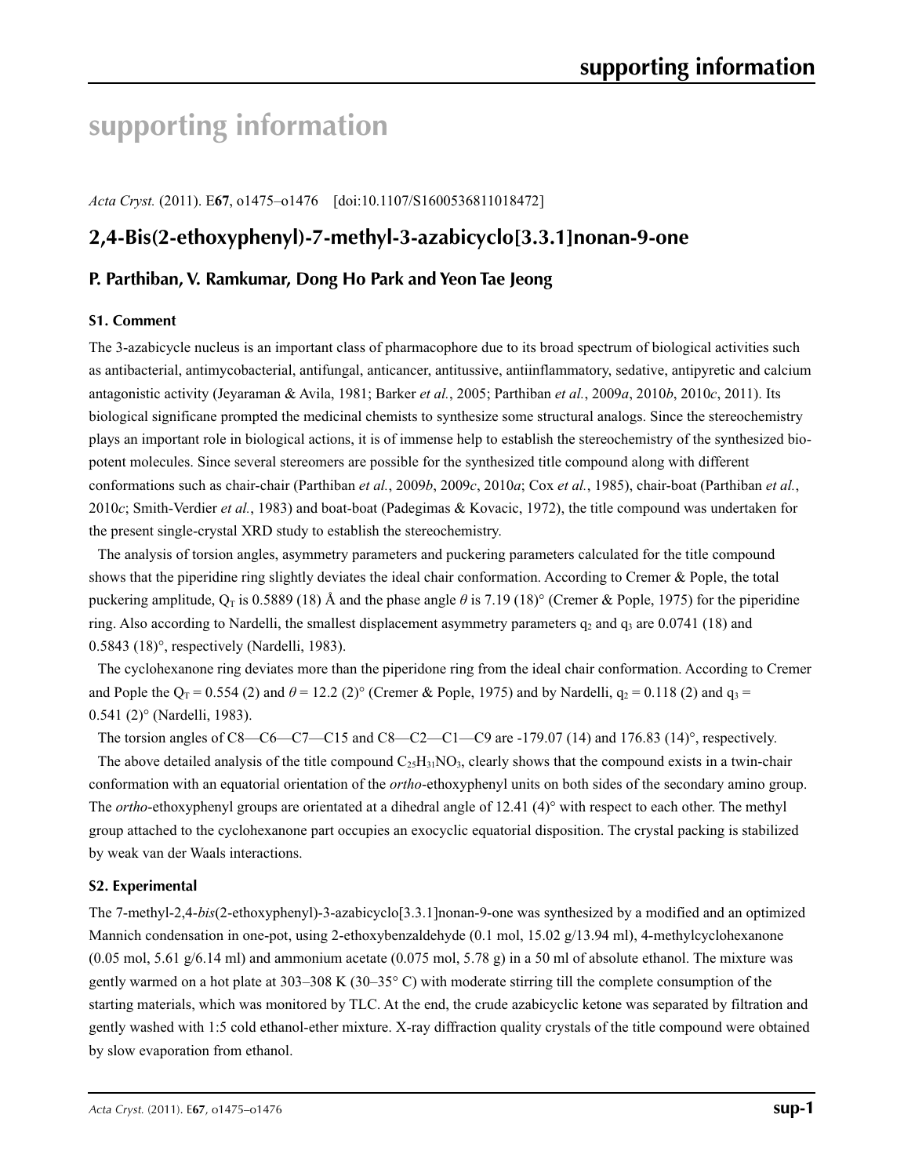# **supporting information**

*Acta Cryst.* (2011). E**67**, o1475–o1476 [doi:10.1107/S1600536811018472]

# **2,4-Bis(2-ethoxyphenyl)-7-methyl-3-azabicyclo[3.3.1]nonan-9-one**

# **P. Parthiban, V. Ramkumar, Dong Ho Park and Yeon Tae Jeong**

### **S1. Comment**

The 3-azabicycle nucleus is an important class of pharmacophore due to its broad spectrum of biological activities such as antibacterial, antimycobacterial, antifungal, anticancer, antitussive, antiinflammatory, sedative, antipyretic and calcium antagonistic activity (Jeyaraman & Avila, 1981; Barker *et al.*, 2005; Parthiban *et al.*, 2009*a*, 2010*b*, 2010*c*, 2011). Its biological significane prompted the medicinal chemists to synthesize some structural analogs. Since the stereochemistry plays an important role in biological actions, it is of immense help to establish the stereochemistry of the synthesized biopotent molecules. Since several stereomers are possible for the synthesized title compound along with different conformations such as chair-chair (Parthiban *et al.*, 2009*b*, 2009*c*, 2010*a*; Cox *et al.*, 1985), chair-boat (Parthiban *et al.*, 2010*c*; Smith-Verdier *et al.*, 1983) and boat-boat (Padegimas & Kovacic, 1972), the title compound was undertaken for the present single-crystal XRD study to establish the stereochemistry.

The analysis of torsion angles, asymmetry parameters and puckering parameters calculated for the title compound shows that the piperidine ring slightly deviates the ideal chair conformation. According to Cremer & Pople, the total puckering amplitude,  $Q_T$  is 0.5889 (18) Å and the phase angle  $\theta$  is 7.19 (18)° (Cremer & Pople, 1975) for the piperidine ring. Also according to Nardelli, the smallest displacement asymmetry parameters  $q_2$  and  $q_3$  are 0.0741 (18) and 0.5843 (18)°, respectively (Nardelli, 1983).

The cyclohexanone ring deviates more than the piperidone ring from the ideal chair conformation. According to Cremer and Pople the  $Q_T = 0.554$  (2) and  $\theta = 12.2$  (2)° (Cremer & Pople, 1975) and by Nardelli,  $q_2 = 0.118$  (2) and  $q_3 =$ 0.541 (2)° (Nardelli, 1983).

The torsion angles of C8—C6—C7—C15 and C8—C2—C1—C9 are -179.07 (14) and 176.83 (14)°, respectively.

The above detailed analysis of the title compound  $C_2H_{31}NO_3$ , clearly shows that the compound exists in a twin-chair conformation with an equatorial orientation of the *ortho*-ethoxyphenyl units on both sides of the secondary amino group. The *ortho*-ethoxyphenyl groups are orientated at a dihedral angle of 12.41 (4)° with respect to each other. The methyl group attached to the cyclohexanone part occupies an exocyclic equatorial disposition. The crystal packing is stabilized by weak van der Waals interactions.

### **S2. Experimental**

The 7-methyl-2,4-*bis*(2-ethoxyphenyl)-3-azabicyclo[3.3.1]nonan-9-one was synthesized by a modified and an optimized Mannich condensation in one-pot, using 2-ethoxybenzaldehyde (0.1 mol, 15.02 g/13.94 ml), 4-methylcyclohexanone  $(0.05 \text{ mol}, 5.61 \text{ g}/6.14 \text{ ml})$  and ammonium acetate  $(0.075 \text{ mol}, 5.78 \text{ g})$  in a 50 ml of absolute ethanol. The mixture was gently warmed on a hot plate at 303–308 K (30–35° C) with moderate stirring till the complete consumption of the starting materials, which was monitored by TLC. At the end, the crude azabicyclic ketone was separated by filtration and gently washed with 1:5 cold ethanol-ether mixture. X-ray diffraction quality crystals of the title compound were obtained by slow evaporation from ethanol.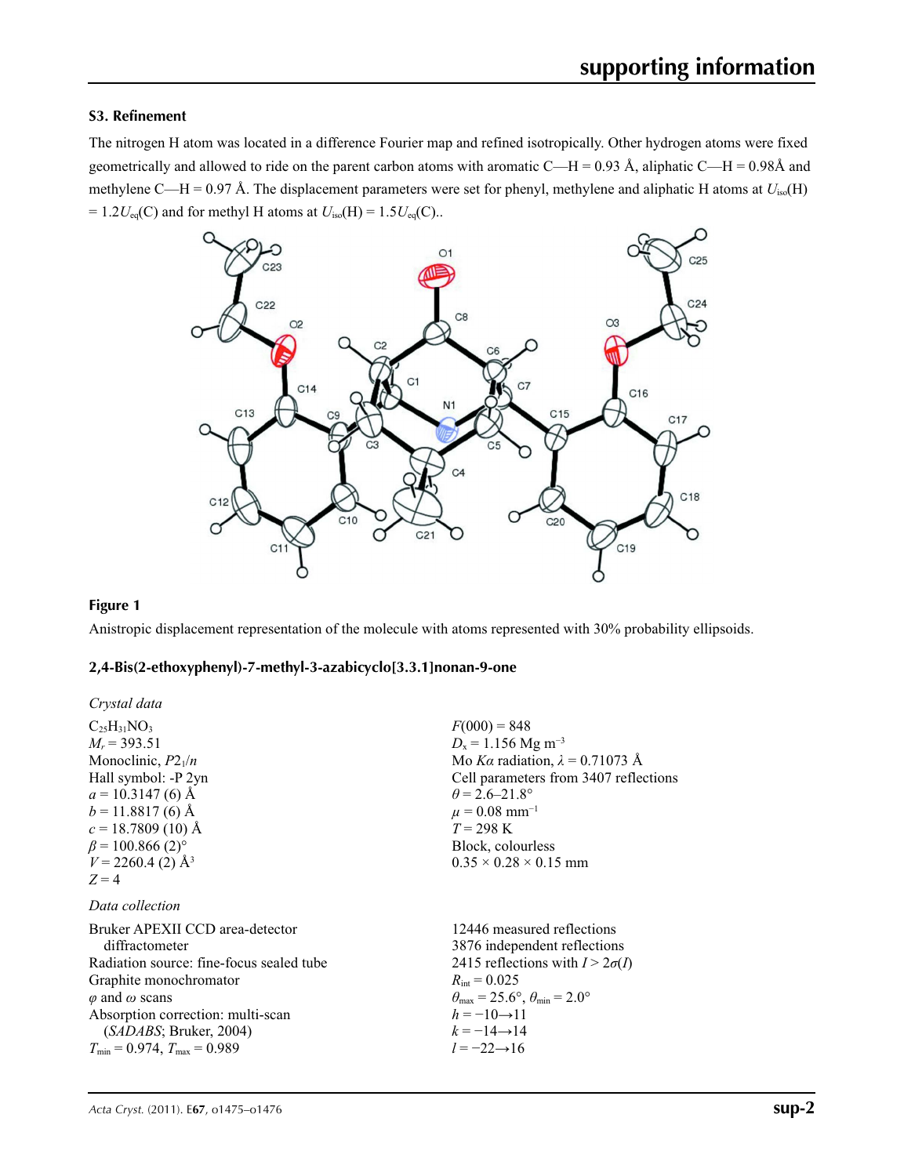# **S3. Refinement**

The nitrogen H atom was located in a difference Fourier map and refined isotropically. Other hydrogen atoms were fixed geometrically and allowed to ride on the parent carbon atoms with aromatic C—H = 0.93 Å, aliphatic C—H = 0.98Å and methylene C—H = 0.97 Å. The displacement parameters were set for phenyl, methylene and aliphatic H atoms at *U*iso(H)  $= 1.2U_{eq}(C)$  and for methyl H atoms at  $U_{iso}(H) = 1.5U_{eq}(C)$ ..



### **Figure 1**

Anistropic displacement representation of the molecule with atoms represented with 30% probability ellipsoids.

# **2,4-Bis(2-ethoxyphenyl)-7-methyl-3-azabicyclo[3.3.1]nonan-9-one**

| Crystal data                             |                                                                         |
|------------------------------------------|-------------------------------------------------------------------------|
| $C_{25}H_{31}NO_3$                       | $F(000) = 848$                                                          |
| $M_r = 393.51$                           | $D_x = 1.156$ Mg m <sup>-3</sup>                                        |
| Monoclinic, $P2_1/n$                     | Mo Ka radiation, $\lambda = 0.71073$ Å                                  |
| Hall symbol: -P 2yn                      | Cell parameters from 3407 reflections                                   |
| $a = 10.3147(6)$ Å                       | $\theta$ = 2.6–21.8°                                                    |
| $b = 11.8817(6)$ Å                       | $\mu = 0.08$ mm <sup>-1</sup>                                           |
| $c = 18.7809(10)$ Å                      | $T = 298 \text{ K}$                                                     |
| $\beta$ = 100.866 (2) <sup>o</sup>       | Block, colourless                                                       |
| $V = 2260.4$ (2) Å <sup>3</sup>          | $0.35 \times 0.28 \times 0.15$ mm                                       |
| $Z=4$                                    |                                                                         |
| Data collection                          |                                                                         |
| Bruker APEXII CCD area-detector          | 12446 measured reflections                                              |
| diffractometer                           | 3876 independent reflections                                            |
| Radiation source: fine-focus sealed tube | 2415 reflections with $I > 2\sigma(I)$                                  |
| Graphite monochromator                   | $R_{\text{int}} = 0.025$                                                |
| $\varphi$ and $\omega$ scans             | $\theta_{\text{max}} = 25.6^{\circ}, \theta_{\text{min}} = 2.0^{\circ}$ |
| Absorption correction: multi-scan        | $h = -10 \rightarrow 11$                                                |
| (SADABS; Bruker, 2004)                   | $k = -14 \rightarrow 14$                                                |
| $T_{\min} = 0.974$ , $T_{\max} = 0.989$  | $l = -22 \rightarrow 16$                                                |
|                                          |                                                                         |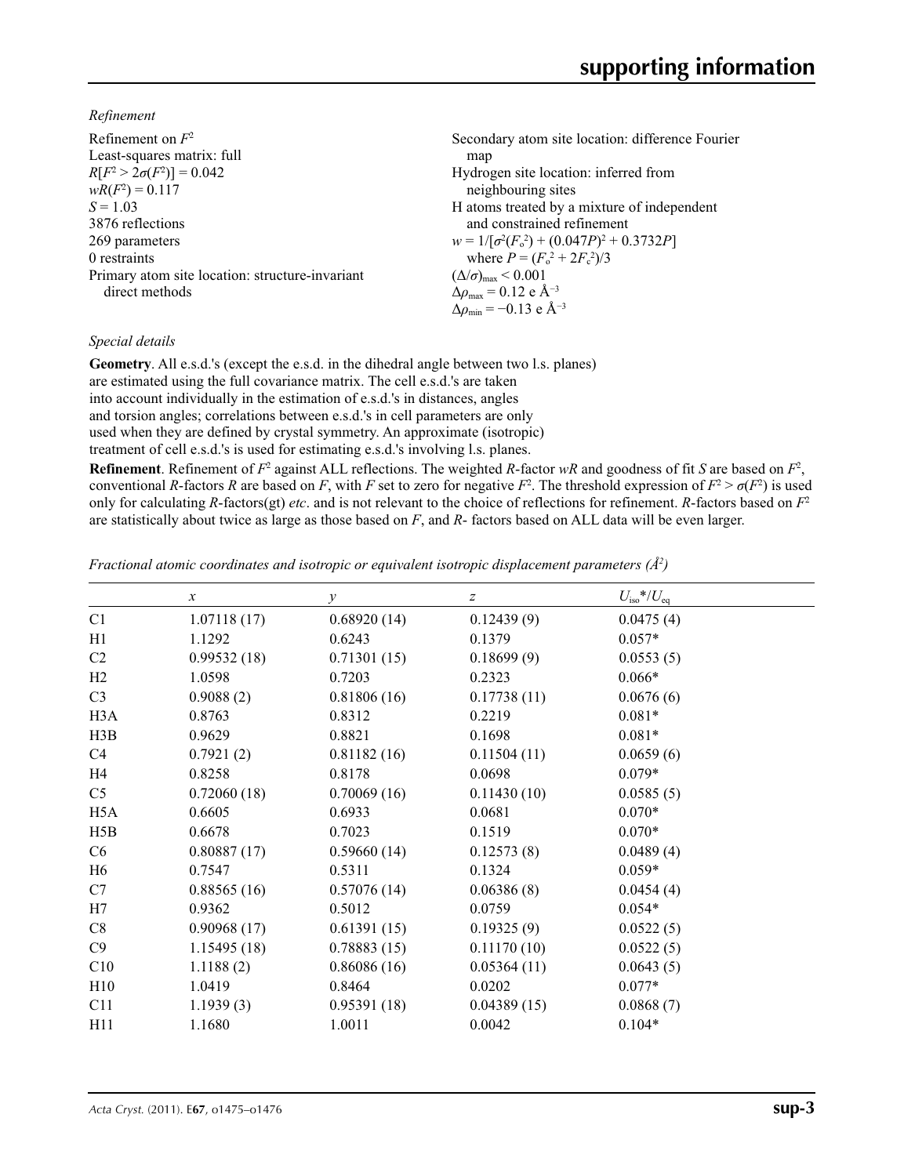*Refinement*

| Refinement on $F^2$                             | Secondary atom site location: difference Fourier             |
|-------------------------------------------------|--------------------------------------------------------------|
| Least-squares matrix: full                      | map                                                          |
| $R[F^2 > 2\sigma(F^2)] = 0.042$                 | Hydrogen site location: inferred from                        |
| $wR(F^2) = 0.117$                               | neighbouring sites                                           |
| $S = 1.03$                                      | H atoms treated by a mixture of independent                  |
| 3876 reflections                                | and constrained refinement                                   |
| 269 parameters                                  | $w = 1/[\sigma^2(F_0^2) + (0.047P)^2 + 0.3732P]$             |
| 0 restraints                                    | where $P = (F_0^2 + 2F_c^2)/3$                               |
| Primary atom site location: structure-invariant | $(\Delta/\sigma)_{\text{max}}$ < 0.001                       |
| direct methods                                  | $\Delta \rho_{\text{max}} = 0.12 \text{ e } \text{\AA}^{-3}$ |
|                                                 | $\Delta \rho_{\rm min} = -0.13$ e Å <sup>-3</sup>            |

# *Special details*

**Geometry**. All e.s.d.'s (except the e.s.d. in the dihedral angle between two l.s. planes) are estimated using the full covariance matrix. The cell e.s.d.'s are taken into account individually in the estimation of e.s.d.'s in distances, angles and torsion angles; correlations between e.s.d.'s in cell parameters are only used when they are defined by crystal symmetry. An approximate (isotropic) treatment of cell e.s.d.'s is used for estimating e.s.d.'s involving l.s. planes.

**Refinement**. Refinement of  $F^2$  against ALL reflections. The weighted *R*-factor  $wR$  and goodness of fit *S* are based on  $F^2$ , conventional *R*-factors *R* are based on *F*, with *F* set to zero for negative *F*<sup>2</sup>. The threshold expression of  $F^2 > \sigma(F^2)$  is used only for calculating *R*-factors(gt) *etc*. and is not relevant to the choice of reflections for refinement. *R*-factors based on *F*<sup>2</sup> are statistically about twice as large as those based on *F*, and *R*- factors based on ALL data will be even larger.

*Fractional atomic coordinates and isotropic or equivalent isotropic displacement parameters (Å2 )*

|                  | $\boldsymbol{x}$ | $\mathcal{V}$ | $\boldsymbol{Z}$ | $U_{\rm iso}$ */ $U_{\rm eq}$ |  |
|------------------|------------------|---------------|------------------|-------------------------------|--|
| C1               | 1.07118(17)      | 0.68920(14)   | 0.12439(9)       | 0.0475(4)                     |  |
| H1               | 1.1292           | 0.6243        | 0.1379           | $0.057*$                      |  |
| C <sub>2</sub>   | 0.99532(18)      | 0.71301(15)   | 0.18699(9)       | 0.0553(5)                     |  |
| H2               | 1.0598           | 0.7203        | 0.2323           | $0.066*$                      |  |
| C <sub>3</sub>   | 0.9088(2)        | 0.81806(16)   | 0.17738(11)      | 0.0676(6)                     |  |
| H <sub>3</sub> A | 0.8763           | 0.8312        | 0.2219           | $0.081*$                      |  |
| H3B              | 0.9629           | 0.8821        | 0.1698           | $0.081*$                      |  |
| C4               | 0.7921(2)        | 0.81182(16)   | 0.11504(11)      | 0.0659(6)                     |  |
| H <sub>4</sub>   | 0.8258           | 0.8178        | 0.0698           | $0.079*$                      |  |
| C <sub>5</sub>   | 0.72060(18)      | 0.70069(16)   | 0.11430(10)      | 0.0585(5)                     |  |
| H <sub>5</sub> A | 0.6605           | 0.6933        | 0.0681           | $0.070*$                      |  |
| H5B              | 0.6678           | 0.7023        | 0.1519           | $0.070*$                      |  |
| C6               | 0.80887(17)      | 0.59660(14)   | 0.12573(8)       | 0.0489(4)                     |  |
| H <sub>6</sub>   | 0.7547           | 0.5311        | 0.1324           | $0.059*$                      |  |
| C7               | 0.88565(16)      | 0.57076(14)   | 0.06386(8)       | 0.0454(4)                     |  |
| H7               | 0.9362           | 0.5012        | 0.0759           | $0.054*$                      |  |
| C8               | 0.90968(17)      | 0.61391(15)   | 0.19325(9)       | 0.0522(5)                     |  |
| C9               | 1.15495(18)      | 0.78883(15)   | 0.11170(10)      | 0.0522(5)                     |  |
| C10              | 1.1188(2)        | 0.86086(16)   | 0.05364(11)      | 0.0643(5)                     |  |
| H10              | 1.0419           | 0.8464        | 0.0202           | $0.077*$                      |  |
| C11              | 1.1939(3)        | 0.95391(18)   | 0.04389(15)      | 0.0868(7)                     |  |
| H11              | 1.1680           | 1.0011        | 0.0042           | $0.104*$                      |  |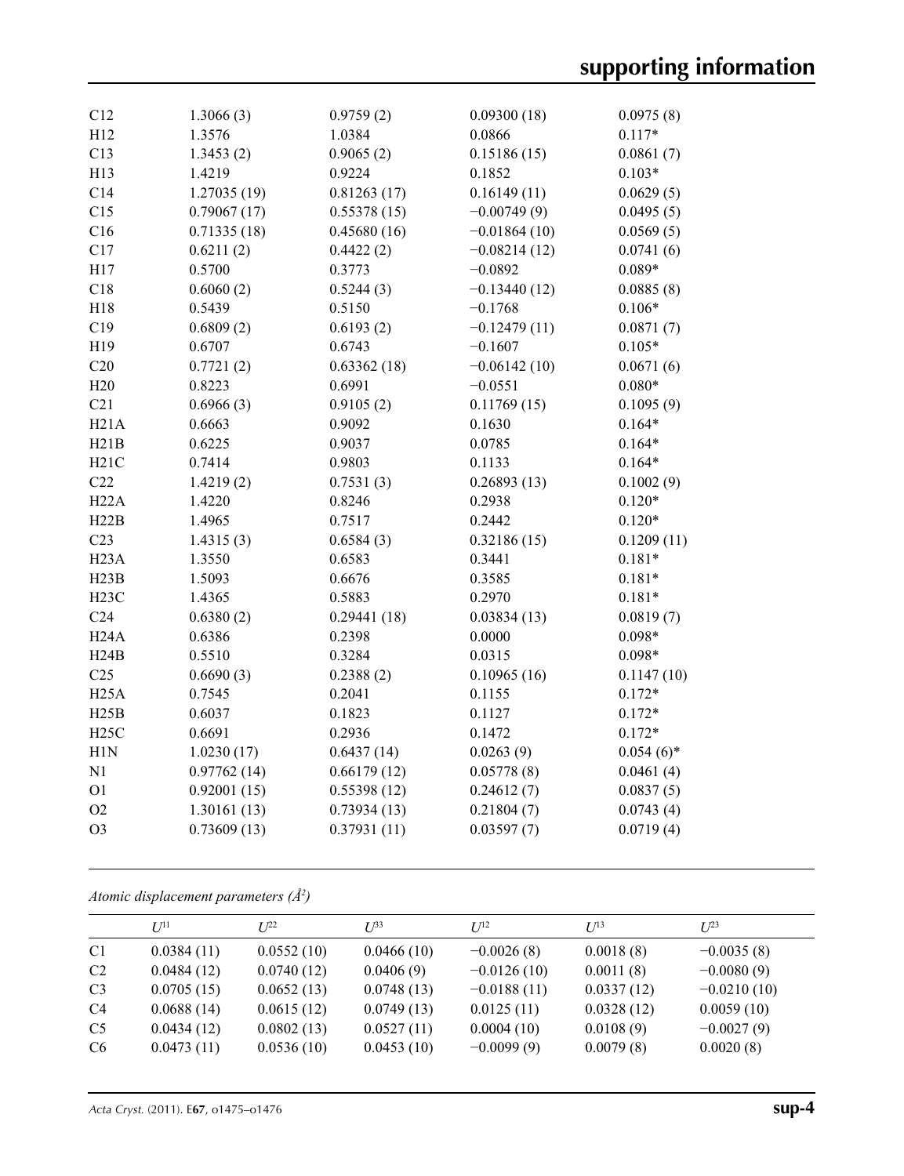| C12               | 1.3066(3)   | 0.9759(2)   | 0.09300(18)    | 0.0975(8)    |
|-------------------|-------------|-------------|----------------|--------------|
| H12               | 1.3576      | 1.0384      | 0.0866         | $0.117*$     |
| C13               | 1.3453(2)   | 0.9065(2)   | 0.15186(15)    | 0.0861(7)    |
| H13               | 1.4219      | 0.9224      | 0.1852         | $0.103*$     |
| C14               | 1.27035(19) | 0.81263(17) | 0.16149(11)    | 0.0629(5)    |
| C15               | 0.79067(17) | 0.55378(15) | $-0.00749(9)$  | 0.0495(5)    |
| C16               | 0.71335(18) | 0.45680(16) | $-0.01864(10)$ | 0.0569(5)    |
| C17               | 0.6211(2)   | 0.4422(2)   | $-0.08214(12)$ | 0.0741(6)    |
| H17               | 0.5700      | 0.3773      | $-0.0892$      | $0.089*$     |
| C18               | 0.6060(2)   | 0.5244(3)   | $-0.13440(12)$ | 0.0885(8)    |
| H18               | 0.5439      | 0.5150      | $-0.1768$      | $0.106*$     |
| C19               | 0.6809(2)   | 0.6193(2)   | $-0.12479(11)$ | 0.0871(7)    |
| H19               | 0.6707      | 0.6743      | $-0.1607$      | $0.105*$     |
| C20               | 0.7721(2)   | 0.63362(18) | $-0.06142(10)$ | 0.0671(6)    |
| H20               | 0.8223      | 0.6991      | $-0.0551$      | $0.080*$     |
| C21               | 0.6966(3)   | 0.9105(2)   | 0.11769(15)    | 0.1095(9)    |
| H21A              | 0.6663      | 0.9092      | 0.1630         | $0.164*$     |
| H21B              | 0.6225      | 0.9037      | 0.0785         | $0.164*$     |
| H21C              | 0.7414      | 0.9803      | 0.1133         | $0.164*$     |
| C22               | 1.4219(2)   | 0.7531(3)   | 0.26893(13)    | 0.1002(9)    |
| H22A              | 1.4220      | 0.8246      | 0.2938         | $0.120*$     |
| H22B              | 1.4965      | 0.7517      | 0.2442         | $0.120*$     |
| C <sub>23</sub>   | 1.4315(3)   | 0.6584(3)   | 0.32186(15)    | 0.1209(11)   |
| H <sub>23</sub> A | 1.3550      | 0.6583      | 0.3441         | $0.181*$     |
| H23B              | 1.5093      | 0.6676      | 0.3585         | $0.181*$     |
| H23C              | 1.4365      | 0.5883      | 0.2970         | $0.181*$     |
| C <sub>24</sub>   | 0.6380(2)   | 0.29441(18) | 0.03834(13)    | 0.0819(7)    |
| H24A              | 0.6386      | 0.2398      | 0.0000         | $0.098*$     |
| H24B              | 0.5510      | 0.3284      | 0.0315         | $0.098*$     |
| C <sub>25</sub>   | 0.6690(3)   | 0.2388(2)   | 0.10965(16)    | 0.1147(10)   |
| H25A              | 0.7545      | 0.2041      | 0.1155         | $0.172*$     |
| H25B              | 0.6037      | 0.1823      | 0.1127         | $0.172*$     |
| H25C              | 0.6691      | 0.2936      | 0.1472         | $0.172*$     |
| H1N               | 1.0230(17)  | 0.6437(14)  | 0.0263(9)      | $0.054(6)$ * |
| N1                | 0.97762(14) | 0.66179(12) | 0.05778(8)     | 0.0461(4)    |
| O <sub>1</sub>    | 0.92001(15) | 0.55398(12) | 0.24612(7)     | 0.0837(5)    |
| O2                | 1.30161(13) | 0.73934(13) | 0.21804(7)     | 0.0743(4)    |
| O <sub>3</sub>    | 0.73609(13) | 0.37931(11) | 0.03597(7)     | 0.0719(4)    |

*Atomic displacement parameters (Å2 )*

|                | $U^{11}$   | $L^{22}$   | $I^{\beta 3}$ | $U^{12}$      | $I^{13}$   | $U^{23}$      |
|----------------|------------|------------|---------------|---------------|------------|---------------|
| C <sub>1</sub> | 0.0384(11) | 0.0552(10) | 0.0466(10)    | $-0.0026(8)$  | 0.0018(8)  | $-0.0035(8)$  |
| C <sub>2</sub> | 0.0484(12) | 0.0740(12) | 0.0406(9)     | $-0.0126(10)$ | 0.0011(8)  | $-0.0080(9)$  |
| C <sub>3</sub> | 0.0705(15) | 0.0652(13) | 0.0748(13)    | $-0.0188(11)$ | 0.0337(12) | $-0.0210(10)$ |
| C <sub>4</sub> | 0.0688(14) | 0.0615(12) | 0.0749(13)    | 0.0125(11)    | 0.0328(12) | 0.0059(10)    |
| C <sub>5</sub> | 0.0434(12) | 0.0802(13) | 0.0527(11)    | 0.0004(10)    | 0.0108(9)  | $-0.0027(9)$  |
| C6             | 0.0473(11) | 0.0536(10) | 0.0453(10)    | $-0.0099(9)$  | 0.0079(8)  | 0.0020(8)     |
|                |            |            |               |               |            |               |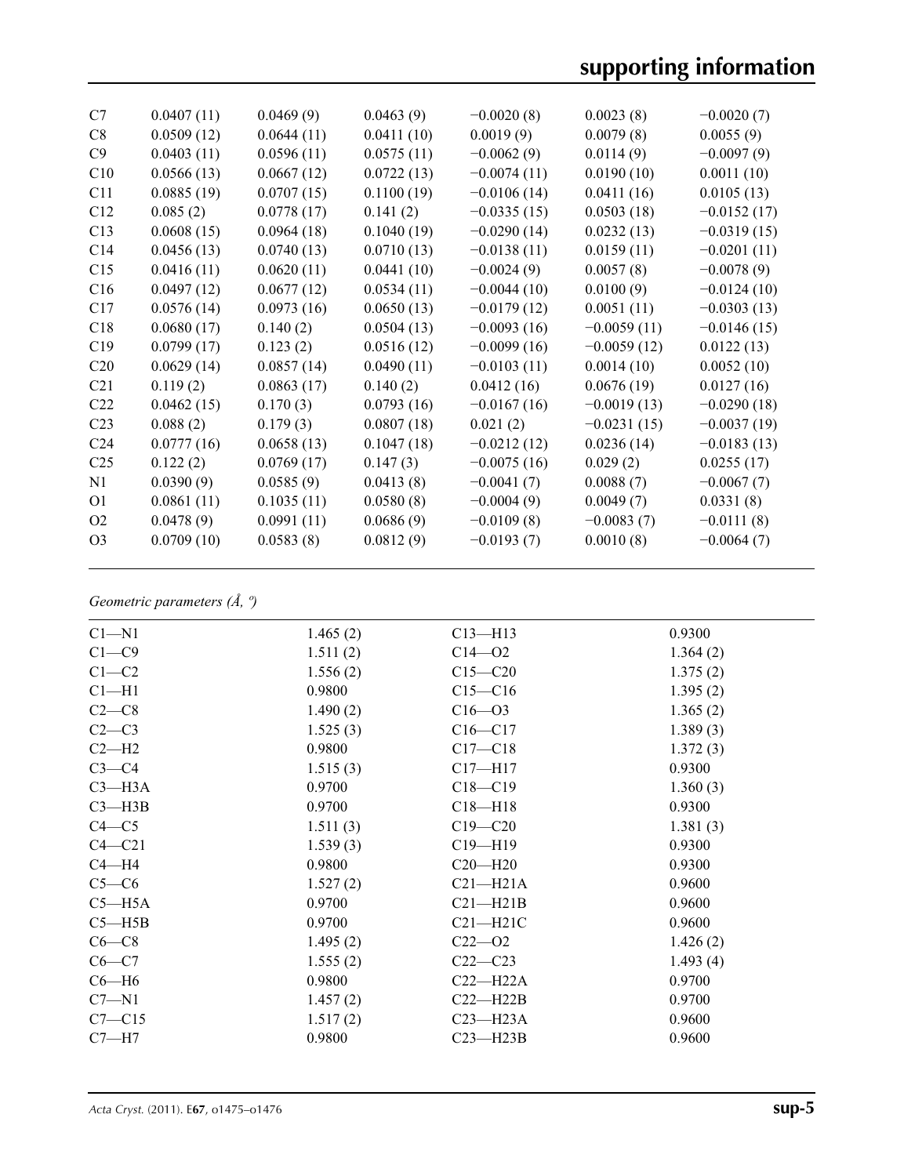| C7              | 0.0407(11) | 0.0469(9)  | 0.0463(9)  | $-0.0020(8)$  | 0.0023(8)     | $-0.0020(7)$  |
|-----------------|------------|------------|------------|---------------|---------------|---------------|
| C8              | 0.0509(12) | 0.0644(11) | 0.0411(10) | 0.0019(9)     | 0.0079(8)     | 0.0055(9)     |
| C9              | 0.0403(11) | 0.0596(11) | 0.0575(11) | $-0.0062(9)$  | 0.0114(9)     | $-0.0097(9)$  |
| C10             | 0.0566(13) | 0.0667(12) | 0.0722(13) | $-0.0074(11)$ | 0.0190(10)    | 0.0011(10)    |
| C11             | 0.0885(19) | 0.0707(15) | 0.1100(19) | $-0.0106(14)$ | 0.0411(16)    | 0.0105(13)    |
| C12             | 0.085(2)   | 0.0778(17) | 0.141(2)   | $-0.0335(15)$ | 0.0503(18)    | $-0.0152(17)$ |
| C13             | 0.0608(15) | 0.0964(18) | 0.1040(19) | $-0.0290(14)$ | 0.0232(13)    | $-0.0319(15)$ |
| C <sub>14</sub> | 0.0456(13) | 0.0740(13) | 0.0710(13) | $-0.0138(11)$ | 0.0159(11)    | $-0.0201(11)$ |
| C15             | 0.0416(11) | 0.0620(11) | 0.0441(10) | $-0.0024(9)$  | 0.0057(8)     | $-0.0078(9)$  |
| C16             | 0.0497(12) | 0.0677(12) | 0.0534(11) | $-0.0044(10)$ | 0.0100(9)     | $-0.0124(10)$ |
| C17             | 0.0576(14) | 0.0973(16) | 0.0650(13) | $-0.0179(12)$ | 0.0051(11)    | $-0.0303(13)$ |
| C18             | 0.0680(17) | 0.140(2)   | 0.0504(13) | $-0.0093(16)$ | $-0.0059(11)$ | $-0.0146(15)$ |
| C19             | 0.0799(17) | 0.123(2)   | 0.0516(12) | $-0.0099(16)$ | $-0.0059(12)$ | 0.0122(13)    |
| C <sub>20</sub> | 0.0629(14) | 0.0857(14) | 0.0490(11) | $-0.0103(11)$ | 0.0014(10)    | 0.0052(10)    |
| C <sub>21</sub> | 0.119(2)   | 0.0863(17) | 0.140(2)   | 0.0412(16)    | 0.0676(19)    | 0.0127(16)    |
| C <sub>22</sub> | 0.0462(15) | 0.170(3)   | 0.0793(16) | $-0.0167(16)$ | $-0.0019(13)$ | $-0.0290(18)$ |
| C <sub>23</sub> | 0.088(2)   | 0.179(3)   | 0.0807(18) | 0.021(2)      | $-0.0231(15)$ | $-0.0037(19)$ |
| C <sub>24</sub> | 0.0777(16) | 0.0658(13) | 0.1047(18) | $-0.0212(12)$ | 0.0236(14)    | $-0.0183(13)$ |
| C <sub>25</sub> | 0.122(2)   | 0.0769(17) | 0.147(3)   | $-0.0075(16)$ | 0.029(2)      | 0.0255(17)    |
| N1              | 0.0390(9)  | 0.0585(9)  | 0.0413(8)  | $-0.0041(7)$  | 0.0088(7)     | $-0.0067(7)$  |
| O <sub>1</sub>  | 0.0861(11) | 0.1035(11) | 0.0580(8)  | $-0.0004(9)$  | 0.0049(7)     | 0.0331(8)     |
| O <sub>2</sub>  | 0.0478(9)  | 0.0991(11) | 0.0686(9)  | $-0.0109(8)$  | $-0.0083(7)$  | $-0.0111(8)$  |
| O <sub>3</sub>  | 0.0709(10) | 0.0583(8)  | 0.0812(9)  | $-0.0193(7)$  | 0.0010(8)     | $-0.0064(7)$  |
|                 |            |            |            |               |               |               |

# *Geometric parameters (Å, º)*

| $Cl - N1$  | 1.465(2) | $C13 - H13$  | 0.9300   |
|------------|----------|--------------|----------|
| $C1 - C9$  | 1.511(2) | $C14 - 02$   | 1.364(2) |
| $C1-C2$    | 1.556(2) | $C15 - C20$  | 1.375(2) |
| $Cl-H1$    | 0.9800   | $C15 - C16$  | 1.395(2) |
| $C2-C8$    | 1.490(2) | $C16 - 03$   | 1.365(2) |
| $C2-C3$    | 1.525(3) | $C16 - C17$  | 1.389(3) |
| $C2-H2$    | 0.9800   | $C17 - C18$  | 1.372(3) |
| $C3-C4$    | 1.515(3) | $C17 - H17$  | 0.9300   |
| $C3 - H3A$ | 0.9700   | $C18 - C19$  | 1.360(3) |
| $C3 - H3B$ | 0.9700   | $C18 - H18$  | 0.9300   |
| $C4 - C5$  | 1.511(3) | $C19 - C20$  | 1.381(3) |
| $C4 - C21$ | 1.539(3) | $C19 - H19$  | 0.9300   |
| $C4 - H4$  | 0.9800   | $C20 - H20$  | 0.9300   |
| $C5-C6$    | 1.527(2) | $C21 - H21A$ | 0.9600   |
| $C5 - H5A$ | 0.9700   | $C21 - H21B$ | 0.9600   |
| $C5 - H5B$ | 0.9700   | $C21 - H21C$ | 0.9600   |
| $C6-C8$    | 1.495(2) | $C22 - 02$   | 1.426(2) |
| $C6-C7$    | 1.555(2) | $C22-C23$    | 1.493(4) |
| $C6 - H6$  | 0.9800   | $C22-H22A$   | 0.9700   |
| $C7 - N1$  | 1.457(2) | $C22 - H22B$ | 0.9700   |
| $C7 - C15$ | 1.517(2) | $C23 - H23A$ | 0.9600   |
| $C7 - H7$  | 0.9800   | $C23 - H23B$ | 0.9600   |
|            |          |              |          |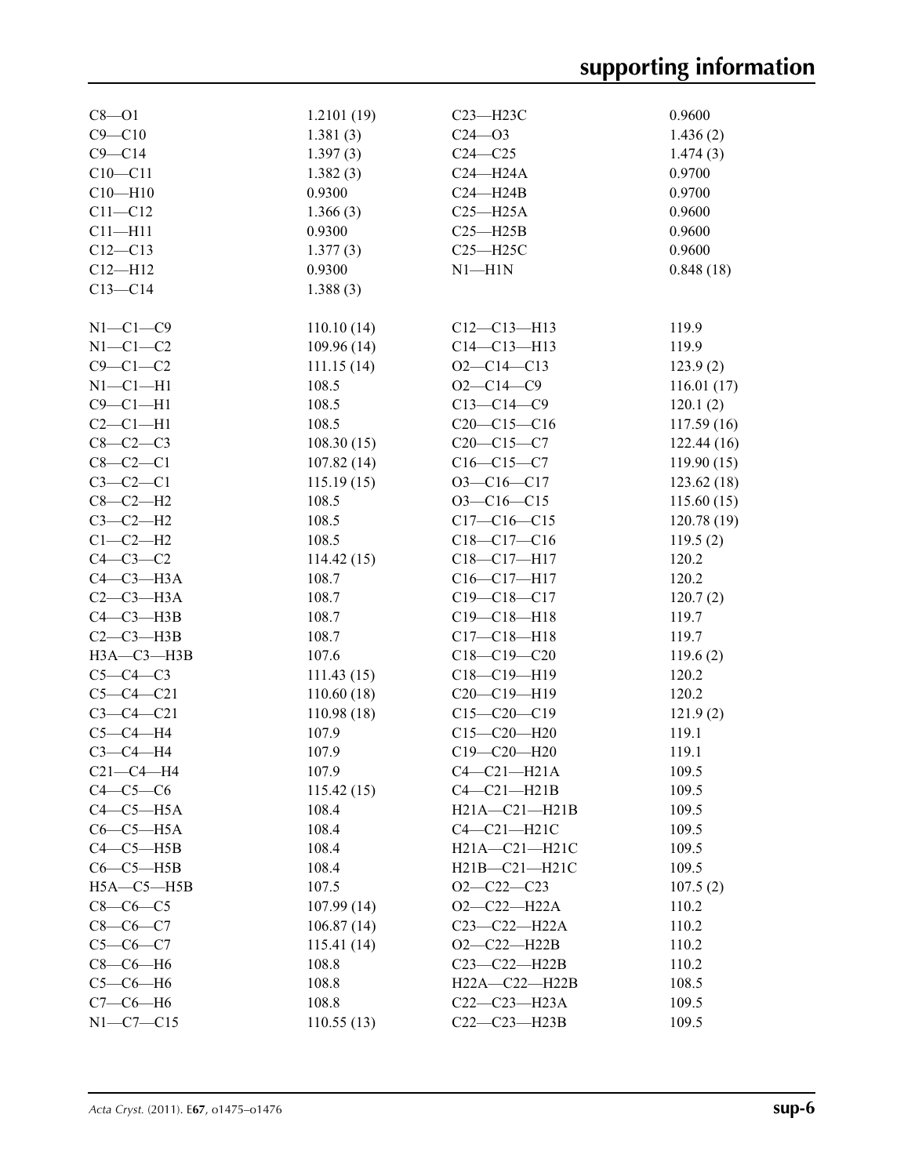| $C8 - O1$        | 1.2101(19) | C23-H23C            | 0.9600         |
|------------------|------------|---------------------|----------------|
| $C9 - C10$       | 1.381(3)   | $C24 - 03$          | 1.436(2)       |
| $C9 - C14$       | 1.397(3)   | $C24 - C25$         | 1.474(3)       |
| $C10 - C11$      | 1.382(3)   | $C24 - H24A$        | 0.9700         |
| $C10 - H10$      | 0.9300     | $C24 - H24B$        | 0.9700         |
| $C11 - C12$      | 1.366(3)   | $C25 - H25A$        | 0.9600         |
| $C11 - H11$      | 0.9300     | $C25 - H25B$        | 0.9600         |
| $C12 - C13$      | 1.377(3)   | $C25 - H25C$        | 0.9600         |
| $C12 - H12$      | 0.9300     | $N1 - H1N$          | 0.848(18)      |
| $C13-C14$        | 1.388(3)   |                     |                |
|                  |            |                     |                |
| $N1-C1-C9$       | 110.10(14) | $C12-C13-H13$       | 119.9          |
| $N1-C1-C2$       | 109.96(14) | $C14 - C13 - H13$   | 119.9          |
| $C9-C1-C2$       | 111.15(14) | $O2 - C14 - C13$    | 123.9(2)       |
| $N1-C1-H1$       | 108.5      | $O2 - C14 - C9$     | 116.01(17)     |
| $C9 - C1 - H1$   | 108.5      | $C13-C14-C9$        | 120.1(2)       |
| $C2-C1-H1$       | 108.5      | $C20-C15-C16$       | 117.59(16)     |
| $C8-C2-C3$       | 108.30(15) | $C20-C15-C7$        | 122.44(16)     |
| $C8 - C2 - C1$   | 107.82(14) | $C16 - C15 - C7$    | 119.90(15)     |
| $C3-C2-C1$       | 115.19(15) | $O3 - C16 - C17$    | 123.62(18)     |
| $C8-C2-H2$       | 108.5      | $O3 - C16 - C15$    | 115.60(15)     |
| $C3-C2-H2$       | 108.5      | $C17-C16-C15$       | 120.78(19)     |
| $C1-C2-H2$       | 108.5      | $C18 - C17 - C16$   | 119.5(2)       |
| $C4-C3-C2$       | 114.42(15) | C18-C17-H17         | 120.2          |
| $C4-C3-H3A$      | 108.7      | $C16-C17-H17$       | 120.2          |
| $C2-C3-H3A$      | 108.7      | $C19 - C18 - C17$   | 120.7(2)       |
| $C4-C3-H3B$      | 108.7      | $C19 - C18 - H18$   | 119.7          |
| $C2-C3-H3B$      | 108.7      | $C17 - C18 - H18$   | 119.7          |
| $H3A - C3 - H3B$ | 107.6      | $C18-C19-C20$       | 119.6(2)       |
| $C5-C4-C3$       | 111.43(15) | $C18 - C19 - H19$   | 120.2          |
| $C5 - C4 - C21$  | 110.60(18) | $C20-C19-H19$       | 120.2          |
| $C3 - C4 - C21$  | 110.98(18) | $C15-C20-C19$       | 121.9(2)       |
| $C5-C4-H4$       | 107.9      | $C15 - C20 - H20$   | 119.1          |
| $C3-C4-H4$       | 107.9      | $C19 - C20 - H20$   | 119.1          |
| $C21-C4-H4$      | 107.9      | $C4-C21-H21A$       | 109.5          |
| $C4-C5-C6$       | 115.42(15) | $C4-C21-H21B$       |                |
| $C4-C5-H5A$      | 108.4      | $H21A - C21 - H21B$ | 109.5<br>109.5 |
|                  |            |                     |                |
| $C6-C5-H5A$      | 108.4      | $C4-C21-H21C$       | 109.5          |
| $C4-C5-H5B$      | 108.4      | H21A-C21-H21C       | 109.5          |
| $C6-C5-H5B$      | 108.4      | $H21B - C21 - H21C$ | 109.5          |
| $H5A - C5 - H5B$ | 107.5      | $O2-C22-C23$        | 107.5(2)       |
| $C8-C6-C5$       | 107.99(14) | $O2-C22-H22A$       | 110.2          |
| $C8-C6-C7$       | 106.87(14) | C23-C22-H22A        | 110.2          |
| $C5 - C6 - C7$   | 115.41(14) | $O2-C22-H22B$       | 110.2          |
| $C8-C6-H6$       | 108.8      | C23-C22-H22B        | 110.2          |
| $C5-C6-H6$       | 108.8      | H22A-C22-H22B       | 108.5          |
| $C7-C6-H6$       | 108.8      | $C22-C23-H23A$      | 109.5          |
| $N1-C7-C15$      | 110.55(13) | $C22-C23-H23B$      | 109.5          |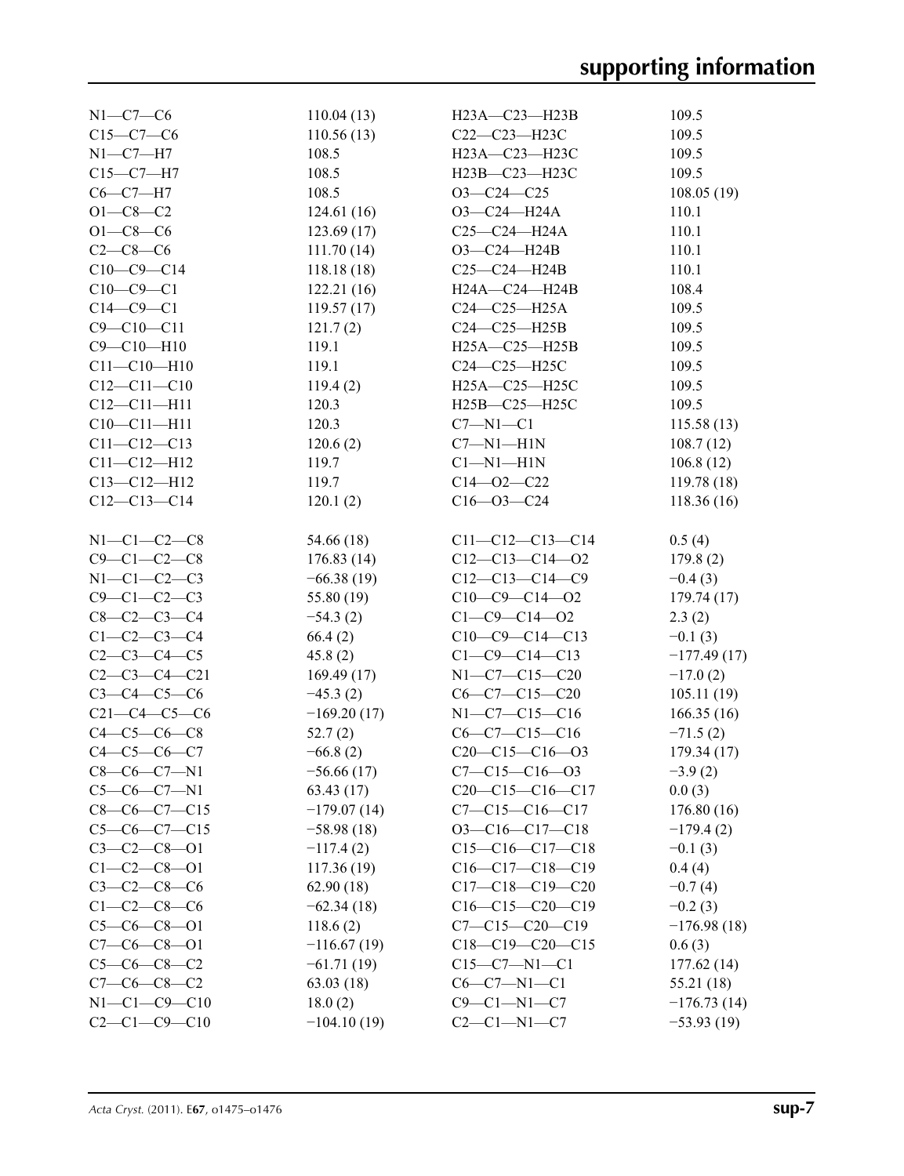| $N1-C7-C6$           | 110.04(13)    | $H23A - C23 - H23B$    | 109.5         |
|----------------------|---------------|------------------------|---------------|
| $C15 - C7 - C6$      | 110.56(13)    | C22-C23-H23C           | 109.5         |
| $N1 - C7 - H7$       | 108.5         | H23A-C23-H23C          | 109.5         |
| $C15-C7-H7$          | 108.5         | H23B-C23-H23C          | 109.5         |
| $C6-C7-H7$           | 108.5         | $O3-C24-C25$           | 108.05(19)    |
| $O1 - C8 - C2$       | 124.61(16)    | $O3-C24-H24A$          | 110.1         |
| $O1 - C8 - C6$       | 123.69(17)    | $C25 - C24 - H24A$     | 110.1         |
| $C2 - C8 - C6$       | 111.70(14)    | O3-C24-H24B            | 110.1         |
| $C10-C9-C14$         | 118.18(18)    | $C25-C24-H24B$         | 110.1         |
| $C10-C9-C1$          | 122.21(16)    | H24A-C24-H24B          | 108.4         |
| $C14-C9-C1$          | 119.57(17)    | $C24-C25-H25A$         | 109.5         |
| $C9 - C10 - C11$     | 121.7(2)      | $C24-C25-H25B$         | 109.5         |
| $C9 - C10 - H10$     | 119.1         | H25A-C25-H25B          | 109.5         |
| $C11 - C10 - H10$    | 119.1         | C24-C25-H25C           | 109.5         |
| $C12 - C11 - C10$    | 119.4(2)      | H25A-C25-H25C          | 109.5         |
| $C12 - C11 - H11$    | 120.3         | H25B-C25-H25C          | 109.5         |
| $C10 - C11 - H11$    | 120.3         | $C7 - N1 - C1$         | 115.58(13)    |
| $C11 - C12 - C13$    | 120.6(2)      | $C7 - N1 - H1N$        | 108.7(12)     |
| $C11 - C12 - H12$    | 119.7         | $Cl-M1-H1N$            | 106.8(12)     |
| $C13 - C12 - H12$    | 119.7         | $C14 - 02 - C22$       | 119.78(18)    |
| $C12-C13-C14$        | 120.1(2)      | $C16 - 03 - C24$       | 118.36(16)    |
|                      |               |                        |               |
| $N1 - C1 - C2 - C8$  | 54.66 (18)    | $C11-C12-C13-C14$      | 0.5(4)        |
| $C9 - C1 - C2 - C8$  | 176.83(14)    | $C12-C13-C14-O2$       | 179.8(2)      |
| $N1-C1-C2-C3$        | $-66.38(19)$  | $C12-C13-C14-C9$       | $-0.4(3)$     |
| $C9 - C1 - C2 - C3$  | 55.80 (19)    | $C10-C9-C14-02$        | 179.74(17)    |
| $C8 - C2 - C3 - C4$  | $-54.3(2)$    | $C1 - C9 - C14 - 02$   | 2.3(2)        |
| $C1-C2-C3-C4$        | 66.4(2)       | $C10-C9-C14-C13$       | $-0.1(3)$     |
| $C2 - C3 - C4 - C5$  | 45.8(2)       | $C1 - C9 - C14 - C13$  | $-177.49(17)$ |
| $C2 - C3 - C4 - C21$ | 169.49(17)    | $N1-C7-C15-C20$        | $-17.0(2)$    |
| $C3 - C4 - C5 - C6$  | $-45.3(2)$    | $C6-C7-C15-C20$        | 105.11(19)    |
| $C21-C4-C5-C6$       | $-169.20(17)$ | $N1-C7-C15-C16$        | 166.35(16)    |
| $C4 - C5 - C6 - C8$  | 52.7(2)       | $C6-C7-C15-C16$        | $-71.5(2)$    |
| $C4 - C5 - C6 - C7$  | $-66.8(2)$    | $C20-C15-C16-03$       | 179.34(17)    |
| $C8-C6-C7-N1$        | $-56.66(17)$  | $C7 - C15 - C16 - 03$  | $-3.9(2)$     |
| $C5-C6-C7-N1$        | 63.43(17)     | $C20-C15-C16-C17$      | 0.0(3)        |
| $C8-C6-C7-C15$       | $-179.07(14)$ | $C7 - C15 - C16 - C17$ | 176.80 (16)   |
| $C5-C6-C7-C15$       | $-58.98(18)$  | $O3-C16-C17-C18$       | $-179.4(2)$   |
| $C3 - C2 - C8 - 01$  | $-117.4(2)$   | $C15-C16-C17-C18$      | $-0.1(3)$     |
| $C1 - C2 - C8 - 01$  | 117.36(19)    | $C16-C17-C18-C19$      | 0.4(4)        |
| $C3 - C2 - C8 - C6$  | 62.90(18)     | $C17-C18-C19-C20$      | $-0.7(4)$     |
| $C1 - C2 - C8 - C6$  | $-62.34(18)$  | $C16-C15-C20-C19$      | $-0.2(3)$     |
| $C5-C6-C8-O1$        | 118.6(2)      | $C7 - C15 - C20 - C19$ | $-176.98(18)$ |
| $C7-C6-C8-O1$        | $-116.67(19)$ | $C18-C19-C20-C15$      | 0.6(3)        |
| $C5-C6-C8-C2$        | $-61.71(19)$  | $C15-C7-N1-C1$         | 177.62(14)    |
| $C7-C6-C8-C2$        | 63.03(18)     | $C6-C7-N1-C1$          | 55.21 (18)    |
| $N1 - C1 - C9 - C10$ | 18.0(2)       | $C9-C1-N1-C7$          | $-176.73(14)$ |
| $C2 - C1 - C9 - C10$ | $-104.10(19)$ | $C2-C1-N1-C7$          | $-53.93(19)$  |
|                      |               |                        |               |